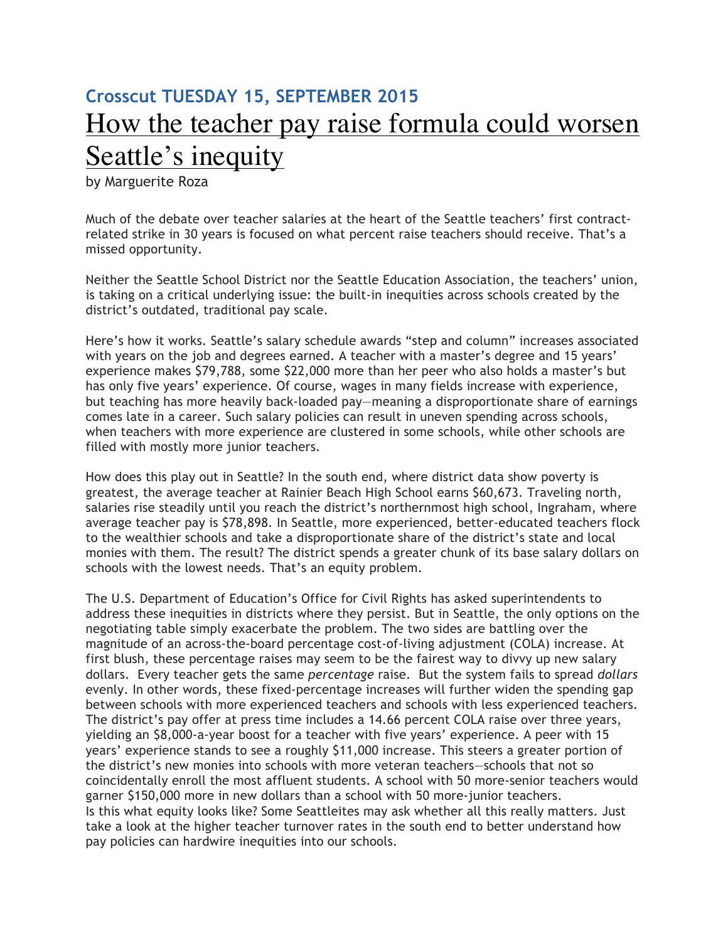## **Crosscut TUESDAY 15, SEPTEMBER 2015** How the teacher pay raise formula could worsen Seattle's inequity

by Marguerite Roza

Much of the debate over teacher salaries at the heart of the Seattle teachers' first contractrelated strike in 30 years is focused on what percent raise teachers should receive. That's a missed opportunity.

Neither the Seattle School District nor the Seattle Education Association, the teachers' union, is taking on a critical underlying issue: the built-in inequities across schools created by the district's outdated, traditional pay scale.

Here's how it works. Seattle's salary schedule awards "step and column" increases associated with years on the job and degrees earned. A teacher with a master's degree and 15 years' experience makes \$79,788, some \$22,000 more than her peer who also holds a master's but has only five years' experience. Of course, wages in many fields increase with experience, but teaching has more heavily back-loaded pay—meaning a disproportionate share of earnings comes late in a career. Such salary policies can result in uneven spending across schools, when teachers with more experience are clustered in some schools, while other schools are filled with mostly more junior teachers.

How does this play out in Seattle? In the south end, where district data show poverty is greatest, the average teacher at Rainier Beach High School earns \$60,673. Traveling north, salaries rise steadily until you reach the district's northernmost high school, Ingraham, where average teacher pay is \$78,898. In Seattle, more experienced, better-educated teachers flock to the wealthier schools and take a disproportionate share of the district's state and local monies with them. The result? The district spends a greater chunk of its base salary dollars on schools with the lowest needs. That's an equity problem.

The U.S. Department of Education's Office for Civil Rights has asked superintendents to address these inequities in districts where they persist. But in Seattle, the only options on the negotiating table simply exacerbate the problem. The two sides are battling over the magnitude of an across-the-board percentage cost-of-living adjustment (COLA) increase. At first blush, these percentage raises may seem to be the fairest way to divvy up new salary dollars. Every teacher gets the same *percentage* raise. But the system fails to spread *dollars*  evenly. In other words, these fixed-percentage increases will further widen the spending gap between schools with more experienced teachers and schools with less experienced teachers. The district's pay offer at press time includes a 14.66 percent COLA raise over three years, yielding an \$8,000-a-year boost for a teacher with five years' experience. A peer with 15 years' experience stands to see a roughly \$11,000 increase. This steers a greater portion of the district's new monies into schools with more veteran teachers—schools that not so coincidentally enroll the most affluent students. A school with 50 more-senior teachers would garner \$150,000 more in new dollars than a school with 50 more-junior teachers. Is this what equity looks like? Some Seattleites may ask whether all this really matters. Just take a look at the higher teacher turnover rates in the south end to better understand how pay policies can hardwire inequities into our schools.